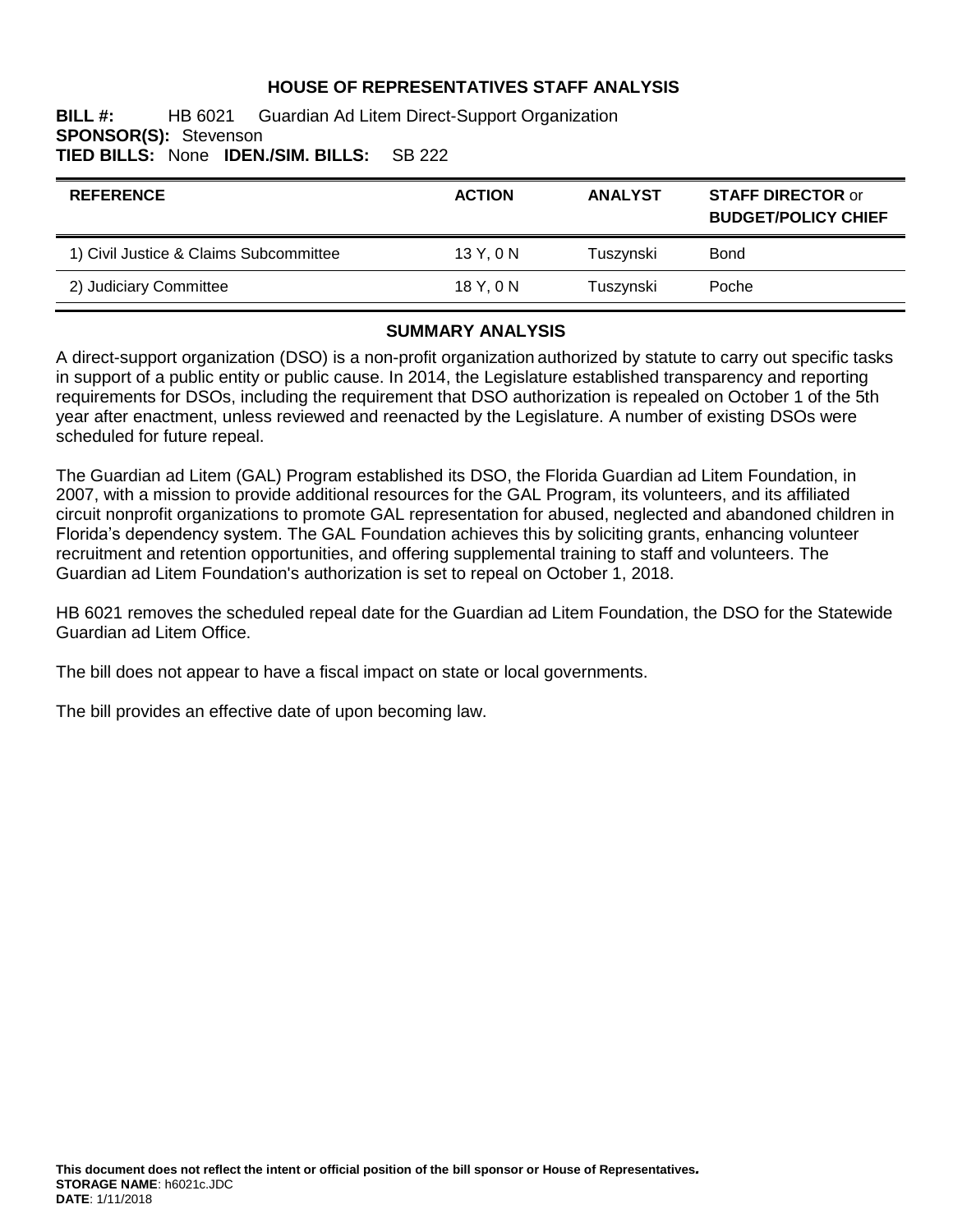## **HOUSE OF REPRESENTATIVES STAFF ANALYSIS**

#### **BILL #:** HB 6021 Guardian Ad Litem Direct-Support Organization **SPONSOR(S):** Stevenson **TIED BILLS:** None **IDEN./SIM. BILLS:** SB 222

| <b>REFERENCE</b>                       | <b>ACTION</b> | <b>ANALYST</b> | <b>STAFF DIRECTOR or</b><br><b>BUDGET/POLICY CHIEF</b> |
|----------------------------------------|---------------|----------------|--------------------------------------------------------|
| 1) Civil Justice & Claims Subcommittee | 13Y.0N        | Tuszynski      | <b>Bond</b>                                            |
| 2) Judiciary Committee                 | 18Y,0N        | Tuszynski      | Poche                                                  |

#### **SUMMARY ANALYSIS**

A direct-support organization (DSO) is a non-profit organization authorized by statute to carry out specific tasks in support of a public entity or public cause. In 2014, the Legislature established transparency and reporting requirements for DSOs, including the requirement that DSO authorization is repealed on October 1 of the 5th year after enactment, unless reviewed and reenacted by the Legislature. A number of existing DSOs were scheduled for future repeal.

The Guardian ad Litem (GAL) Program established its DSO, the Florida Guardian ad Litem Foundation, in 2007, with a mission to provide additional resources for the GAL Program, its volunteers, and its affiliated circuit nonprofit organizations to promote GAL representation for abused, neglected and abandoned children in Florida's dependency system. The GAL Foundation achieves this by soliciting grants, enhancing volunteer recruitment and retention opportunities, and offering supplemental training to staff and volunteers. The Guardian ad Litem Foundation's authorization is set to repeal on October 1, 2018.

HB 6021 removes the scheduled repeal date for the Guardian ad Litem Foundation, the DSO for the Statewide Guardian ad Litem Office.

The bill does not appear to have a fiscal impact on state or local governments.

The bill provides an effective date of upon becoming law.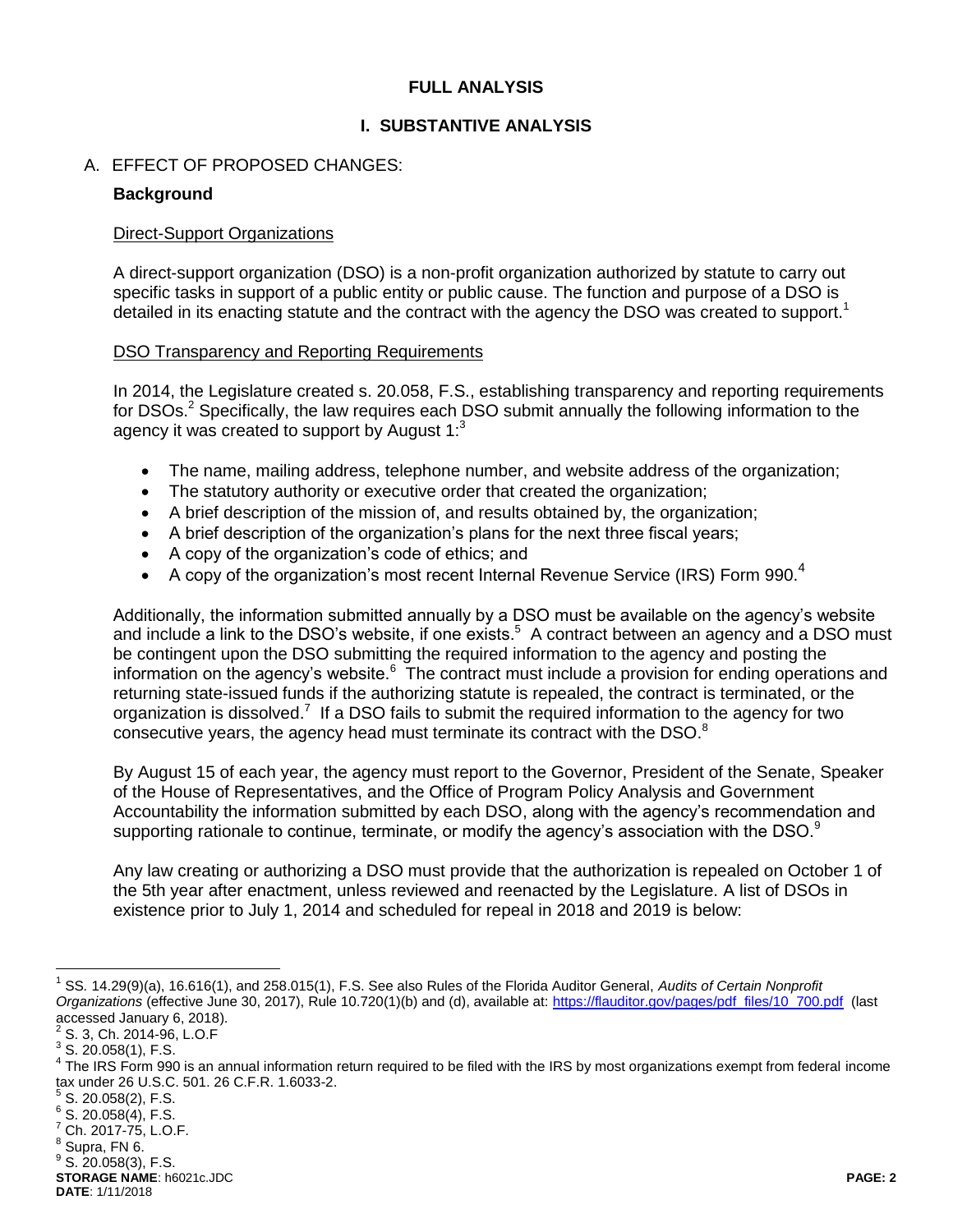### <span id="page-1-1"></span>**FULL ANALYSIS**

### **I. SUBSTANTIVE ANALYSIS**

#### A. EFFECT OF PROPOSED CHANGES:

#### **Background**

#### Direct-Support Organizations

A direct-support organization (DSO) is a non-profit organization authorized by statute to carry out specific tasks in support of a public entity or public cause. The function and purpose of a DSO is detailed in its enacting statute and the contract with the agency the DSO was created to support.<sup>1</sup>

#### DSO Transparency and Reporting Requirements

<span id="page-1-0"></span>In 2014, the Legislature created s. 20.058, F.S., establishing transparency and reporting requirements for DSOs.<sup>2</sup> Specifically, the law requires each DSO submit annually the following information to the agency it was created to support by August  $1:3$ 

- The name, mailing address, telephone number, and website address of the organization;
- The statutory authority or executive order that created the organization;
- A brief description of the mission of, and results obtained by, the organization;
- A brief description of the organization's plans for the next three fiscal years;
- A copy of the organization's code of ethics; and
- A copy of the organization's most recent Internal Revenue Service (IRS) Form 990.<sup>4</sup>

Additionally, the information submitted annually by a DSO must be available on the agency's website and include a link to the DSO's website, if one exists.<sup>5</sup> A contract between an agency and a DSO must be contingent upon the DSO submitting the required information to the agency and posting the information on the agency's website.<sup>6</sup> The contract must include a provision for ending operations and returning state-issued funds if the authorizing statute is repealed, the contract is terminated, or the organization is dissolved.<sup>7</sup> If a DSO fails to submit the required information to the agency for two consecutive years, the agency head must terminate its contract with the DSO.<sup>8</sup>

By August 15 of each year, the agency must report to the Governor, President of the Senate, Speaker of the House of Representatives, and the Office of Program Policy Analysis and Government Accountability the information submitted by each DSO, along with the agency's recommendation and supporting rationale to continue, terminate, or modify the agency's association with the DSO.<sup>9</sup>

Any law creating or authorizing a DSO must provide that the authorization is repealed on October 1 of the 5th year after enactment, unless reviewed and reenacted by the Legislature. A list of DSOs in existence prior to July 1, 2014 and scheduled for repeal in 2018 and 2019 is below:

 $\overline{a}$ 

 $5$  S. 20.058(2), F.S.

<sup>7</sup> Ch. 2017-75, L.O.F.

<sup>1</sup> SS*.* 14.29(9)(a), 16.616(1), and 258.015(1), F.S. See also Rules of the Florida Auditor General, *Audits of Certain Nonprofit*  Organizations (effective June 30, 2017), Rule 10.720(1)(b) and (d), available at: [https://flauditor.gov/pages/pdf\\_files/10\\_700.pdf](https://flauditor.gov/pages/pdf_files/10_700.pdf) (last accessed January 6, 2018). 2

S. 3, Ch. 2014-96, L.O.F

 $3$  S. 20.058(1), F.S.

<sup>&</sup>lt;sup>4</sup> The IRS Form 990 is an annual information return required to be filed with the IRS by most organizations exempt from federal income tax under 26 U.S.C. 501. 26 C.F.R. 1.6033-2.

 $6$  S. 20.058(4), F.S.

 $<sup>8</sup>$  Supra, FN 6.</sup>

**STORAGE NAME**: h6021c.JDC **PAGE: 2**  $^9$  S. 20.058(3), F.S.

**DATE**: 1/11/2018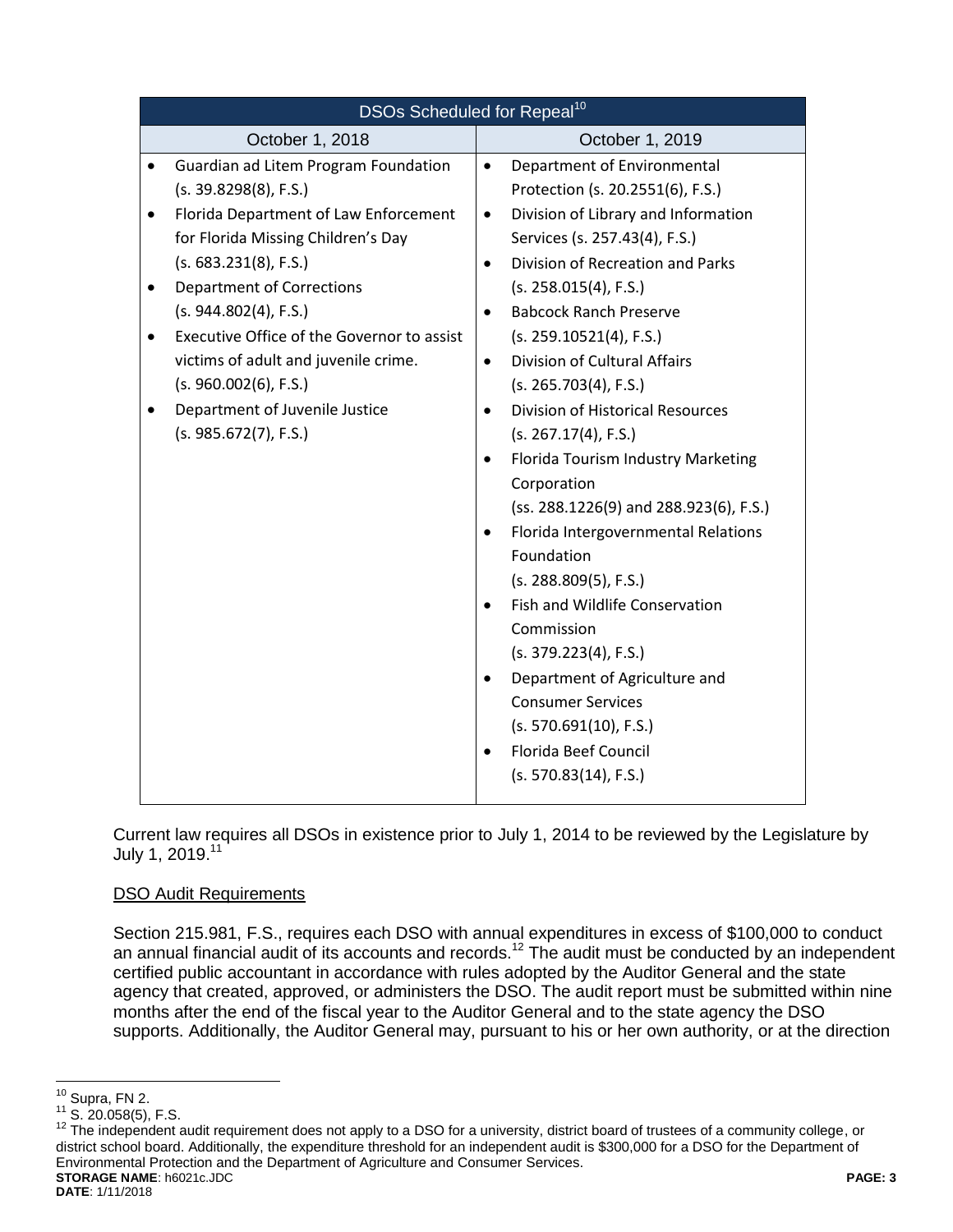| DSOs Scheduled for Repeal <sup>10</sup>       |                                                      |  |  |
|-----------------------------------------------|------------------------------------------------------|--|--|
| October 1, 2018                               | October 1, 2019                                      |  |  |
| Guardian ad Litem Program Foundation          | Department of Environmental<br>$\bullet$             |  |  |
| (s. 39.8298(8), F.S.)                         | Protection (s. 20.2551(6), F.S.)                     |  |  |
| Florida Department of Law Enforcement         | Division of Library and Information<br>$\bullet$     |  |  |
| for Florida Missing Children's Day            | Services (s. 257.43(4), F.S.)                        |  |  |
| (s. 683.231(8), F.S.)                         | Division of Recreation and Parks<br>$\bullet$        |  |  |
| <b>Department of Corrections</b><br>$\bullet$ | (s. 258.015(4), F.S.)                                |  |  |
| (s. 944.802(4), F.S.)                         | <b>Babcock Ranch Preserve</b>                        |  |  |
| Executive Office of the Governor to assist    | (s. 259.10521(4), F.S.)                              |  |  |
| victims of adult and juvenile crime.          | <b>Division of Cultural Affairs</b><br>$\bullet$     |  |  |
| (s. 960.002(6), F.S.)                         | (s. 265.703(4), F.S.)                                |  |  |
| Department of Juvenile Justice                | <b>Division of Historical Resources</b><br>$\bullet$ |  |  |
| (s. 985.672(7), F.S.)                         | (s. 267.17(4), F.S.)                                 |  |  |
|                                               | Florida Tourism Industry Marketing                   |  |  |
|                                               | Corporation                                          |  |  |
|                                               | (ss. 288.1226(9) and 288.923(6), F.S.)               |  |  |
|                                               | Florida Intergovernmental Relations                  |  |  |
|                                               | Foundation                                           |  |  |
|                                               | (s. 288.809(5), F.S.)                                |  |  |
|                                               | Fish and Wildlife Conservation                       |  |  |
|                                               | Commission                                           |  |  |
|                                               | (s. 379.223(4), F.S.)                                |  |  |
|                                               | Department of Agriculture and<br>$\bullet$           |  |  |
|                                               | <b>Consumer Services</b>                             |  |  |
|                                               | (s. 570.691(10), F.S.)                               |  |  |
|                                               | Florida Beef Council                                 |  |  |
|                                               | (s. 570.83(14), F.S.)                                |  |  |
|                                               |                                                      |  |  |

Current law requires all DSOs in existence prior to July 1, 2014 to be reviewed by the Legislature by July 1, 2019.<sup>11</sup>

# DSO Audit Requirements

Section 215.981, F.S., requires each DSO with annual expenditures in excess of \$100,000 to conduct an annual financial audit of its accounts and records.<sup>12</sup> The audit must be conducted by an independent certified public accountant in accordance with rules adopted by the Auditor General and the state agency that created, approved, or administers the DSO. The audit report must be submitted within nine months after the end of the fiscal year to the Auditor General and to the state agency the DSO supports. Additionally, the Auditor General may, pursuant to his or her own authority, or at the direction

 $\overline{a}$ 

 $10$  Supra, F[N 2.](#page-1-0)

 $^{11}$  S. 20.058(5), F.S.

**STORAGE NAME**: h6021c.JDC **PAGE: 3** <sup>12</sup> The independent audit requirement does not apply to a DSO for a university, district board of trustees of a community college, or district school board. Additionally, the expenditure threshold for an independent audit is \$300,000 for a DSO for the Department of Environmental Protection and the Department of Agriculture and Consumer Services.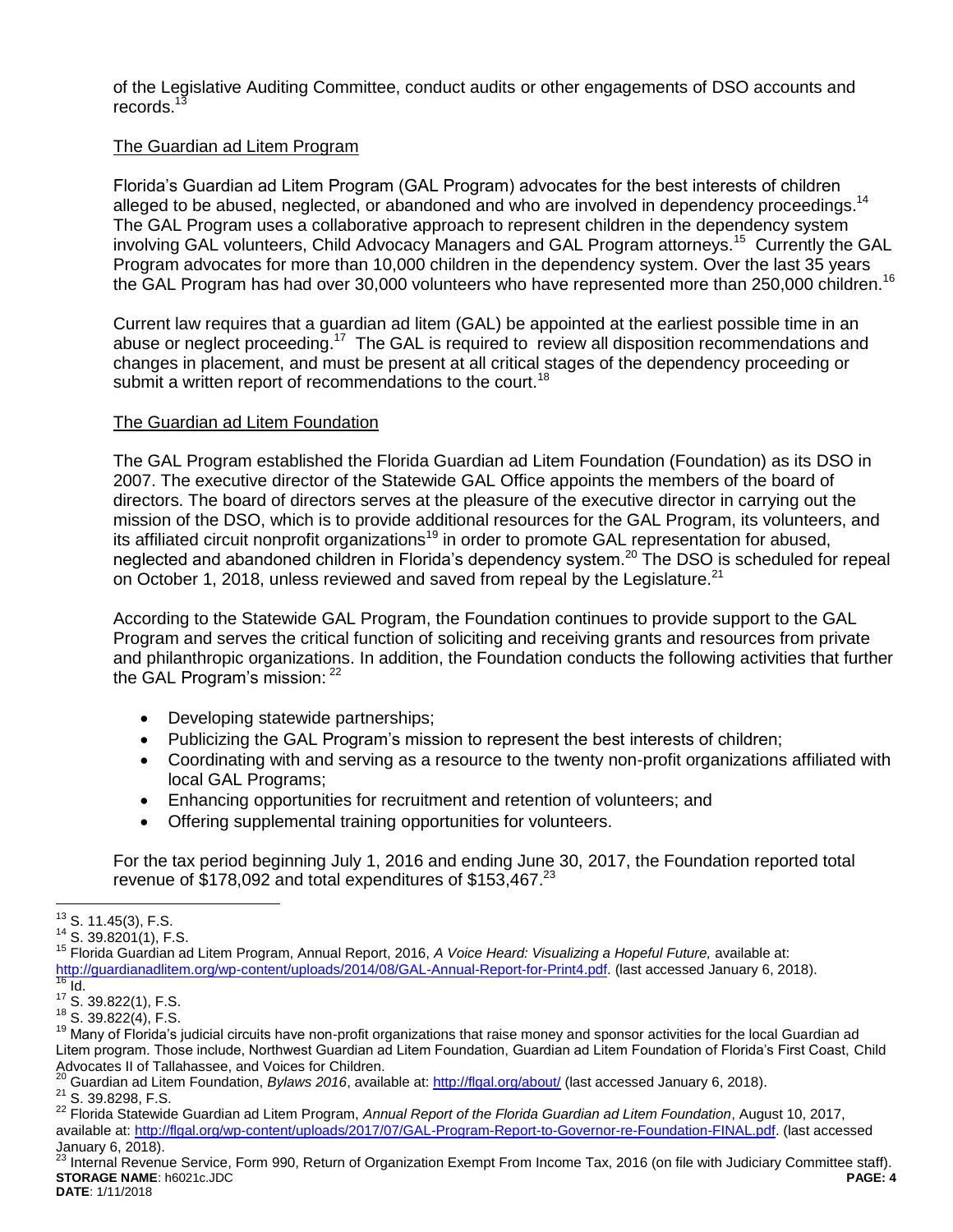of the Legislative Auditing Committee, conduct audits or other engagements of DSO accounts and records.<sup>13</sup>

### The Guardian ad Litem Program

Florida's Guardian ad Litem Program (GAL Program) advocates for the best interests of children alleged to be abused, neglected, or abandoned and who are involved in dependency proceedings.<sup>14</sup> The GAL Program uses a collaborative approach to represent children in the dependency system involving GAL volunteers, Child Advocacy Managers and GAL Program attorneys.<sup>15</sup> Currently the GAL Program advocates for more than 10,000 children in the dependency system. Over the last 35 years the GAL Program has had over 30,000 volunteers who have represented more than 250,000 children.<sup>16</sup>

Current law requires that a guardian ad litem (GAL) be appointed at the earliest possible time in an abuse or neglect proceeding.<sup>17</sup> The GAL is required to review all disposition recommendations and changes in placement, and must be present at all critical stages of the dependency proceeding or submit a written report of recommendations to the court.<sup>18</sup>

#### The Guardian ad Litem Foundation

The GAL Program established the Florida Guardian ad Litem Foundation (Foundation) as its DSO in 2007. The executive director of the Statewide GAL Office appoints the members of the board of directors. The board of directors serves at the pleasure of the executive director in carrying out the mission of the DSO, which is to provide additional resources for the GAL Program, its volunteers, and its affiliated circuit nonprofit organizations<sup>19</sup> in order to promote GAL representation for abused, neglected and abandoned children in Florida's dependency system.<sup>20</sup> The DSO is scheduled for repeal on October 1, 2018, unless reviewed and saved from repeal by the Legislature.<sup>21</sup>

According to the Statewide GAL Program, the Foundation continues to provide support to the GAL Program and serves the critical function of soliciting and receiving grants and resources from private and philanthropic organizations. In addition, the Foundation conducts the following activities that further the GAL Program's mission: <sup>22</sup>

- Developing statewide partnerships;
- Publicizing the GAL Program's mission to represent the best interests of children;
- Coordinating with and serving as a resource to the twenty non-profit organizations affiliated with local GAL Programs;
- Enhancing opportunities for recruitment and retention of volunteers; and
- Offering supplemental training opportunities for volunteers.

For the tax period beginning July 1, 2016 and ending June 30, 2017, the Foundation reported total revenue of \$178,092 and total expenditures of \$153,467.<sup>23</sup>

 $\overline{a}$  $13$  S. 11.45(3), F.S.

<sup>14</sup> S. 39.8201(1), F.S.

<sup>15</sup> Florida Guardian ad Litem Program, Annual Report, 2016, *A Voice Heard: Visualizing a Hopeful Future,* available at: [http://guardianadlitem.org/wp-content/uploads/2014/08/GAL-Annual-Report-for-Print4.pdf.](http://guardianadlitem.org/wp-content/uploads/2014/08/GAL-Annual-Report-for-Print4.pdf) (last accessed January 6, 2018).  $\frac{16}{16}$  Id.

 $17$  S. 39.822(1), F.S.

<sup>18</sup> S. 39.822(4), F.S.

<sup>&</sup>lt;sup>19</sup> Many of Florida's judicial circuits have non-profit organizations that raise money and sponsor activities for the local Guardian ad Litem program. Those include, Northwest Guardian ad Litem Foundation, Guardian ad Litem Foundation of Florida's First Coast, Child Advocates II of Tallahassee, and Voices for Children.

<sup>&</sup>lt;sup>20</sup> Guardian ad Litem Foundation, *Bylaws 2016*, available at:<http://flgal.org/about/> (last accessed January 6, 2018). <sup>21</sup> S. 39.8298, F.S.

<sup>22</sup> Florida Statewide Guardian ad Litem Program, *Annual Report of the Florida Guardian ad Litem Foundation*, August 10, 2017, available at[: http://flgal.org/wp-content/uploads/2017/07/GAL-Program-Report-to-Governor-re-Foundation-FINAL.pdf.](http://flgal.org/wp-content/uploads/2017/07/GAL-Program-Report-to-Governor-re-Foundation-FINAL.pdf) (last accessed January 6, 2018).

**STORAGE NAME**: h6021c.JDC **PAGE: 4 DATE**: 1/11/2018  $^{23}$  Internal Revenue Service, Form 990, Return of Organization Exempt From Income Tax, 2016 (on file with Judiciary Committee staff).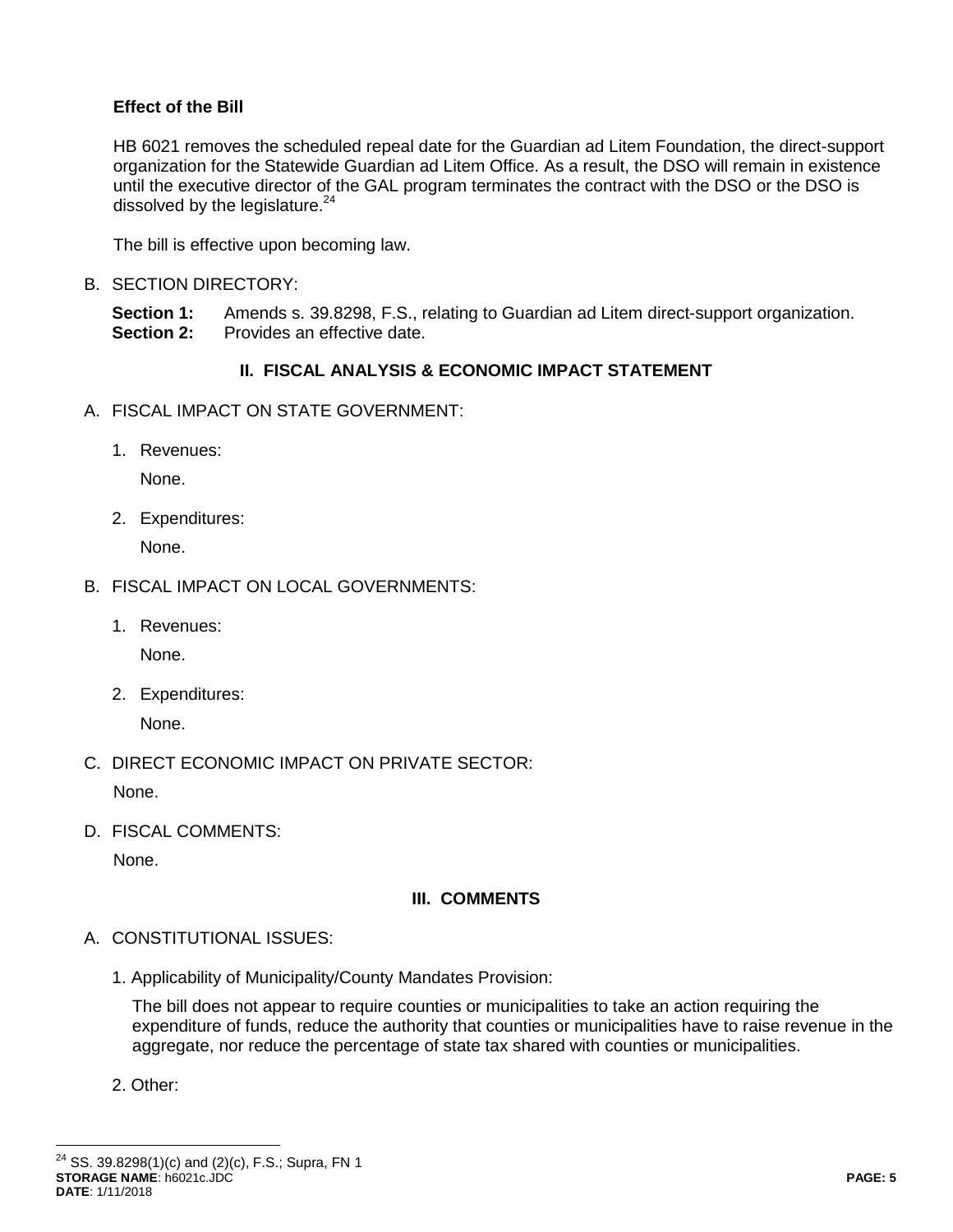## **Effect of the Bill**

HB 6021 removes the scheduled repeal date for the Guardian ad Litem Foundation, the direct-support organization for the Statewide Guardian ad Litem Office. As a result, the DSO will remain in existence until the executive director of the GAL program terminates the contract with the DSO or the DSO is dissolved by the legislature.<sup>24</sup>

The bill is effective upon becoming law.

B. SECTION DIRECTORY:

**Section 1:** Amends s. 39.8298, F.S., relating to Guardian ad Litem direct-support organization. **Section 2:** Provides an effective date.

### **II. FISCAL ANALYSIS & ECONOMIC IMPACT STATEMENT**

- A. FISCAL IMPACT ON STATE GOVERNMENT:
	- 1. Revenues:

None.

2. Expenditures:

None.

- B. FISCAL IMPACT ON LOCAL GOVERNMENTS:
	- 1. Revenues:

None.

2. Expenditures:

None.

C. DIRECT ECONOMIC IMPACT ON PRIVATE SECTOR:

None.

D. FISCAL COMMENTS:

None.

### **III. COMMENTS**

- A. CONSTITUTIONAL ISSUES:
	- 1. Applicability of Municipality/County Mandates Provision:

The bill does not appear to require counties or municipalities to take an action requiring the expenditure of funds, reduce the authority that counties or municipalities have to raise revenue in the aggregate, nor reduce the percentage of state tax shared with counties or municipalities.

2. Other:

 $\overline{a}$ 

**STORAGE NAME**: h6021c.JDC **PAGE: 5 DATE**: 1/11/2018  $^{24}$  SS. 39.8298(1)(c) and (2)(c), F.S.; Supra, F[N 1](#page-1-1)